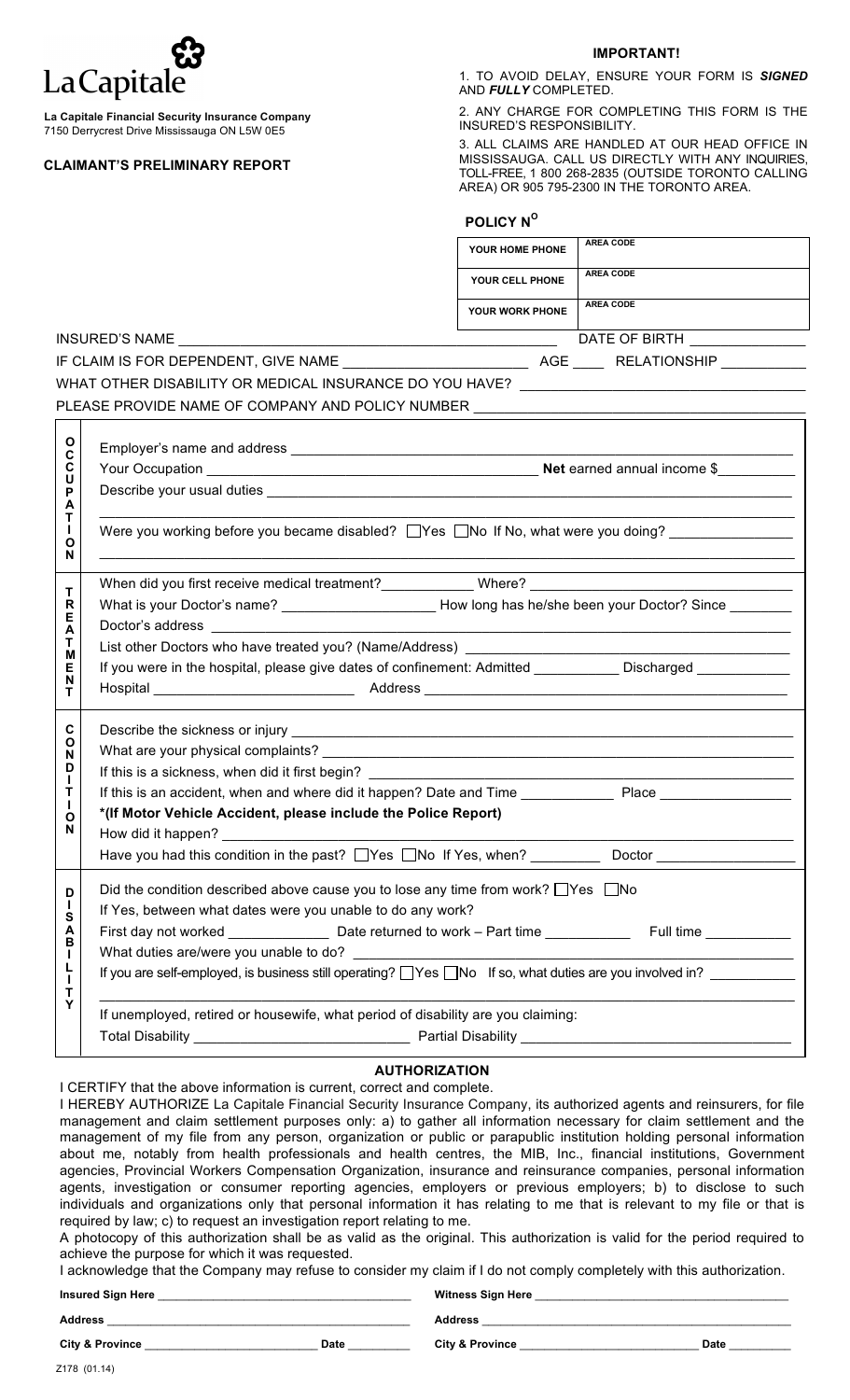## La Capitale

**La Capitale Financial Security Insurance Company** 7150 Derrycrest Drive Mississauga ON L5W 0E5

## **CLAIMANT'S PRELIMINARY REPORT**

## **IMPORTANT!**

1. TO AVOID DELAY, ENSURE YOUR FORM IS *SIGNED* AND *FULLY* COMPLETED.

2. ANY CHARGE FOR COMPLETING THIS FORM IS THE INSURED'S RESPONSIBILITY.

3. ALL CLAIMS ARE HANDLED AT OUR HEAD OFFICE IN MISSISSAUGA. CALL US DIRECTLY WITH ANY INQUIRIES, TOLL-FREE, 1 800 268-2835 (OUTSIDE TORONTO CALLING AREA) OR 905 795-2300 IN THE TORONTO AREA.

| POLICY Nº |  |
|-----------|--|
|-----------|--|

|                                            | <b>AREA CODE</b><br>YOUR HOME PHONE                                                                                                             |  |  |  |  |  |
|--------------------------------------------|-------------------------------------------------------------------------------------------------------------------------------------------------|--|--|--|--|--|
|                                            | <b>AREA CODE</b><br>YOUR CELL PHONE                                                                                                             |  |  |  |  |  |
|                                            | <b>AREA CODE</b><br>YOUR WORK PHONE                                                                                                             |  |  |  |  |  |
|                                            | DATE OF BIRTH <b>LEARNING</b>                                                                                                                   |  |  |  |  |  |
|                                            |                                                                                                                                                 |  |  |  |  |  |
|                                            | WHAT OTHER DISABILITY OR MEDICAL INSURANCE DO YOU HAVE? ________________________                                                                |  |  |  |  |  |
|                                            | PLEASE PROVIDE NAME OF COMPANY AND POLICY NUMBER _______________________________                                                                |  |  |  |  |  |
|                                            |                                                                                                                                                 |  |  |  |  |  |
| O<br>C                                     |                                                                                                                                                 |  |  |  |  |  |
| C<br>U                                     |                                                                                                                                                 |  |  |  |  |  |
| P<br>A<br>Т<br>H.                          |                                                                                                                                                 |  |  |  |  |  |
|                                            | Were you working before you became disabled? $\Box$ Yes $\Box$ No If No, what were you doing?                                                   |  |  |  |  |  |
| O<br>N                                     |                                                                                                                                                 |  |  |  |  |  |
|                                            |                                                                                                                                                 |  |  |  |  |  |
| т<br>R                                     |                                                                                                                                                 |  |  |  |  |  |
| Е<br>Α                                     | Doctor's address <b>contained Doctor's</b> address                                                                                              |  |  |  |  |  |
| Τ                                          |                                                                                                                                                 |  |  |  |  |  |
| M<br>Е                                     | If you were in the hospital, please give dates of confinement: Admitted ____________ Discharged __________                                      |  |  |  |  |  |
| N<br>т                                     |                                                                                                                                                 |  |  |  |  |  |
|                                            |                                                                                                                                                 |  |  |  |  |  |
| $\mathbf{C}$<br>О                          |                                                                                                                                                 |  |  |  |  |  |
| N<br>D                                     |                                                                                                                                                 |  |  |  |  |  |
| $\mathbf{I}$<br>Т                          |                                                                                                                                                 |  |  |  |  |  |
| $\mathbf{I}$                               | *(If Motor Vehicle Accident, please include the Police Report)                                                                                  |  |  |  |  |  |
| Ο<br>N                                     |                                                                                                                                                 |  |  |  |  |  |
|                                            | Have you had this condition in the past? $\Box$ Yes $\Box$ No If Yes, when?<br>Doctor                                                           |  |  |  |  |  |
| D                                          | Did the condition described above cause you to lose any time from work? $\Box$ Yes $\Box$ No                                                    |  |  |  |  |  |
| $\mathbf{I}$                               | If Yes, between what dates were you unable to do any work?                                                                                      |  |  |  |  |  |
| S<br>A                                     | First day not worked _______________________Date returned to work - Part time ________________________________                                  |  |  |  |  |  |
| B<br>L.<br>L<br>$\mathbf I$<br>$\mathsf T$ |                                                                                                                                                 |  |  |  |  |  |
|                                            | If you are self-employed, is business still operating? UYes UNo If so, what duties are you involved in? UNIT ME                                 |  |  |  |  |  |
| Y                                          | <u> 1989 - Johann Stoff, amerikansk politiker (d. 1989)</u><br>If unemployed, retired or housewife, what period of disability are you claiming: |  |  |  |  |  |
|                                            |                                                                                                                                                 |  |  |  |  |  |
|                                            |                                                                                                                                                 |  |  |  |  |  |

## **AUTHORIZATION**

I CERTIFY that the above information is current, correct and complete.

I HEREBY AUTHORIZE La Capitale Financial Security Insurance Company, its authorized agents and reinsurers, for file management and claim settlement purposes only: a) to gather all information necessary for claim settlement and the management of my file from any person, organization or public or parapublic institution holding personal information about me, notably from health professionals and health centres, the MIB, Inc., financial institutions, Government agencies, Provincial Workers Compensation Organization, insurance and reinsurance companies, personal information agents, investigation or consumer reporting agencies, employers or previous employers; b) to disclose to such individuals and organizations only that personal information it has relating to me that is relevant to my file or that is required by law; c) to request an investigation report relating to me.

A photocopy of this authorization shall be as valid as the original. This authorization is valid for the period required to achieve the purpose for which it was requested.

I acknowledge that the Company may refuse to consider my claim if I do not comply completely with this authorization.

| <b>Insured Sign Here</b>   |             | <b>Witness Sign Here</b>   |             |  |
|----------------------------|-------------|----------------------------|-------------|--|
| <b>Address</b>             |             | <b>Address</b>             |             |  |
| <b>City &amp; Province</b> | <b>Date</b> | <b>City &amp; Province</b> | <b>Date</b> |  |